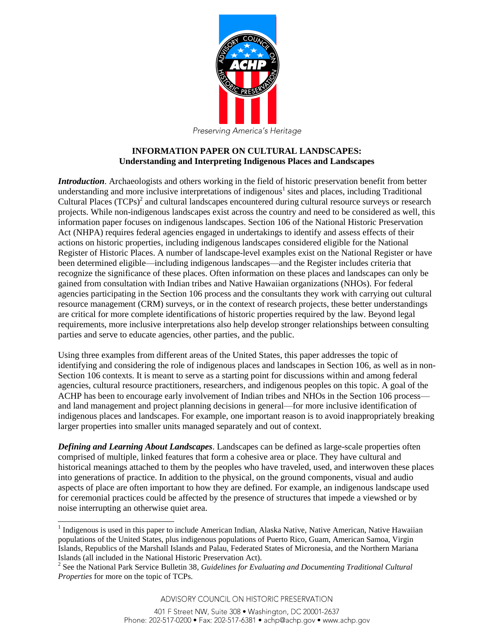

## **INFORMATION PAPER ON CULTURAL LANDSCAPES: Understanding and Interpreting Indigenous Places and Landscapes**

*Introduction*. Archaeologists and others working in the field of historic preservation benefit from better understanding and more inclusive interpretations of indigenous<sup>1</sup> sites and places, including Traditional Cultural Places  $(TCPs)^2$  and cultural landscapes encountered during cultural resource surveys or research projects. While non-indigenous landscapes exist across the country and need to be considered as well, this information paper focuses on indigenous landscapes. Section 106 of the National Historic Preservation Act (NHPA) requires federal agencies engaged in undertakings to identify and assess effects of their actions on historic properties, including indigenous landscapes considered eligible for the National Register of Historic Places. A number of landscape-level examples exist on the National Register or have been determined eligible—including indigenous landscapes—and the Register includes criteria that recognize the significance of these places. Often information on these places and landscapes can only be gained from consultation with Indian tribes and Native Hawaiian organizations (NHOs). For federal agencies participating in the Section 106 process and the consultants they work with carrying out cultural resource management (CRM) surveys, or in the context of research projects, these better understandings are critical for more complete identifications of historic properties required by the law. Beyond legal requirements, more inclusive interpretations also help develop stronger relationships between consulting parties and serve to educate agencies, other parties, and the public.

Using three examples from different areas of the United States, this paper addresses the topic of identifying and considering the role of indigenous places and landscapes in Section 106, as well as in non-Section 106 contexts. It is meant to serve as a starting point for discussions within and among federal agencies, cultural resource practitioners, researchers, and indigenous peoples on this topic. A goal of the ACHP has been to encourage early involvement of Indian tribes and NHOs in the Section 106 process and land management and project planning decisions in general—for more inclusive identification of indigenous places and landscapes. For example, one important reason is to avoid inappropriately breaking larger properties into smaller units managed separately and out of context.

*Defining and Learning About Landscapes*. Landscapes can be defined as large-scale properties often comprised of multiple, linked features that form a cohesive area or place. They have cultural and historical meanings attached to them by the peoples who have traveled, used, and interwoven these places into generations of practice. In addition to the physical, on the ground components, visual and audio aspects of place are often important to how they are defined. For example, an indigenous landscape used for ceremonial practices could be affected by the presence of structures that impede a viewshed or by noise interrupting an otherwise quiet area.

 $\overline{a}$ 

<sup>&</sup>lt;sup>1</sup> Indigenous is used in this paper to include American Indian, Alaska Native, Native American, Native Hawaiian populations of the United States, plus indigenous populations of Puerto Rico, Guam, American Samoa, Virgin Islands, Republics of the Marshall Islands and Palau, Federated States of Micronesia, and the Northern Mariana Islands (all included in the National Historic Preservation Act).

<sup>&</sup>lt;sup>2</sup> See the National Park Service Bulletin 38, *Guidelines for Evaluating and Documenting Traditional Cultural Properties* for more on the topic of TCPs.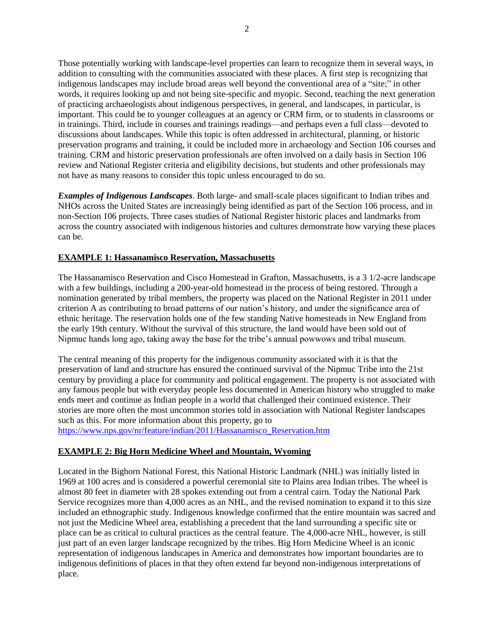Those potentially working with landscape-level properties can learn to recognize them in several ways, in addition to consulting with the communities associated with these places. A first step is recognizing that indigenous landscapes may include broad areas well beyond the conventional area of a "site;" in other words, it requires looking up and not being site-specific and myopic. Second, teaching the next generation of practicing archaeologists about indigenous perspectives, in general, and landscapes, in particular, is important. This could be to younger colleagues at an agency or CRM firm, or to students in classrooms or in trainings. Third, include in courses and trainings readings—and perhaps even a full class—devoted to discussions about landscapes. While this topic is often addressed in architectural, planning, or historic preservation programs and training, it could be included more in archaeology and Section 106 courses and training. CRM and historic preservation professionals are often involved on a daily basis in Section 106 review and National Register criteria and eligibility decisions, but students and other professionals may not have as many reasons to consider this topic unless encouraged to do so.

*Examples of Indigenous Landscapes*. Both large- and small-scale places significant to Indian tribes and NHOs across the United States are increasingly being identified as part of the Section 106 process, and in non-Section 106 projects. Three cases studies of National Register historic places and landmarks from across the country associated with indigenous histories and cultures demonstrate how varying these places can be.

## **EXAMPLE 1: Hassanamisco Reservation, Massachusetts**

The Hassanamisco Reservation and Cisco Homestead in Grafton, Massachusetts, is a 3 1/2-acre landscape with a few buildings, including a 200-year-old homestead in the process of being restored. Through a nomination generated by tribal members, the property was placed on the National Register in 2011 under criterion A as contributing to broad patterns of our nation's history, and under the significance area of ethnic heritage. The reservation holds one of the few standing Native homesteads in New England from the early 19th century. Without the survival of this structure, the land would have been sold out of Nipmuc hands long ago, taking away the base for the tribe's annual powwows and tribal museum.

The central meaning of this property for the indigenous community associated with it is that the preservation of land and structure has ensured the continued survival of the Nipmuc Tribe into the 21st century by providing a place for community and political engagement. The property is not associated with any famous people but with everyday people less documented in American history who struggled to make ends meet and continue as Indian people in a world that challenged their continued existence. Their stories are more often the most uncommon stories told in association with National Register landscapes such as this. For more information about this property, go to [https://www.nps.gov/nr/feature/indian/2011/Hassanamisco\\_Reservation.htm](https://www.nps.gov/nr/feature/indian/2011/Hassanamisco_Reservation.htm)

## **EXAMPLE 2: Big Horn Medicine Wheel and Mountain, Wyoming**

Located in the Bighorn National Forest, this National Historic Landmark (NHL) was initially listed in 1969 at 100 acres and is considered a powerful ceremonial site to Plains area Indian tribes. The wheel is almost 80 feet in diameter with 28 spokes extending out from a central cairn. Today the National Park Service recognizes more than 4,000 acres as an NHL, and the revised nomination to expand it to this size included an ethnographic study. Indigenous knowledge confirmed that the entire mountain was sacred and not just the Medicine Wheel area, establishing a precedent that the land surrounding a specific site or place can be as critical to cultural practices as the central feature. The 4,000-acre NHL, however, is still just part of an even larger landscape recognized by the tribes. Big Horn Medicine Wheel is an iconic representation of indigenous landscapes in America and demonstrates how important boundaries are to indigenous definitions of places in that they often extend far beyond non-indigenous interpretations of place.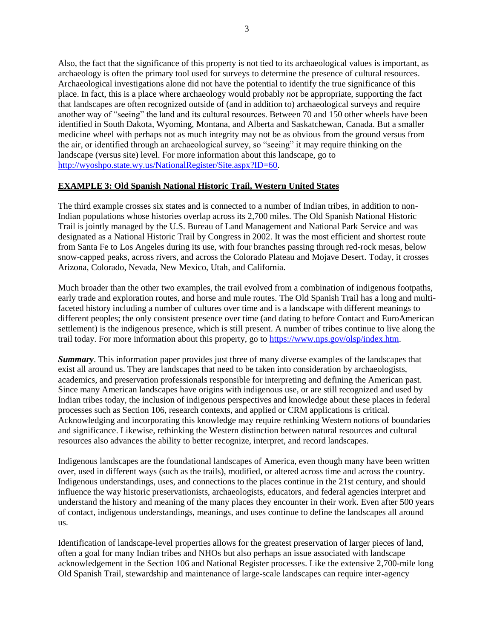Also, the fact that the significance of this property is not tied to its archaeological values is important, as archaeology is often the primary tool used for surveys to determine the presence of cultural resources. Archaeological investigations alone did not have the potential to identify the true significance of this place. In fact, this is a place where archaeology would probably *not* be appropriate, supporting the fact that landscapes are often recognized outside of (and in addition to) archaeological surveys and require another way of "seeing" the land and its cultural resources. Between 70 and 150 other wheels have been identified in South Dakota, Wyoming, Montana, and Alberta and Saskatchewan, Canada. But a smaller medicine wheel with perhaps not as much integrity may not be as obvious from the ground versus from the air, or identified through an archaeological survey, so "seeing" it may require thinking on the landscape (versus site) level. For more information about this landscape, go to [http://wyoshpo.state.wy.us/NationalRegister/Site.aspx?ID=60.](http://wyoshpo.state.wy.us/NationalRegister/Site.aspx?ID=60)

## **EXAMPLE 3: Old Spanish National Historic Trail, Western United States**

The third example crosses six states and is connected to a number of Indian tribes, in addition to non-Indian populations whose histories overlap across its 2,700 miles. The Old Spanish National Historic Trail is jointly managed by the U.S. Bureau of Land Management and National Park Service and was designated as a National Historic Trail by Congress in 2002. It was the most efficient and shortest route from Santa Fe to Los Angeles during its use, with four branches passing through red-rock mesas, below snow-capped peaks, across rivers, and across the Colorado Plateau and Mojave Desert. Today, it crosses Arizona, Colorado, Nevada, New Mexico, Utah, and California.

Much broader than the other two examples, the trail evolved from a combination of indigenous footpaths, early trade and exploration routes, and horse and mule routes. The Old Spanish Trail has a long and multifaceted history including a number of cultures over time and is a landscape with different meanings to different peoples; the only consistent presence over time (and dating to before Contact and EuroAmerican settlement) is the indigenous presence, which is still present. A number of tribes continue to live along the trail today. For more information about this property, go to [https://www.nps.gov/olsp/index.htm.](https://www.nps.gov/olsp/index.htm)

*Summary*. This information paper provides just three of many diverse examples of the landscapes that exist all around us. They are landscapes that need to be taken into consideration by archaeologists, academics, and preservation professionals responsible for interpreting and defining the American past. Since many American landscapes have origins with indigenous use, or are still recognized and used by Indian tribes today, the inclusion of indigenous perspectives and knowledge about these places in federal processes such as Section 106, research contexts, and applied or CRM applications is critical. Acknowledging and incorporating this knowledge may require rethinking Western notions of boundaries and significance. Likewise, rethinking the Western distinction between natural resources and cultural resources also advances the ability to better recognize, interpret, and record landscapes.

Indigenous landscapes are the foundational landscapes of America, even though many have been written over, used in different ways (such as the trails), modified, or altered across time and across the country. Indigenous understandings, uses, and connections to the places continue in the 21st century, and should influence the way historic preservationists, archaeologists, educators, and federal agencies interpret and understand the history and meaning of the many places they encounter in their work. Even after 500 years of contact, indigenous understandings, meanings, and uses continue to define the landscapes all around us.

Identification of landscape-level properties allows for the greatest preservation of larger pieces of land, often a goal for many Indian tribes and NHOs but also perhaps an issue associated with landscape acknowledgement in the Section 106 and National Register processes. Like the extensive 2,700-mile long Old Spanish Trail, stewardship and maintenance of large-scale landscapes can require inter-agency